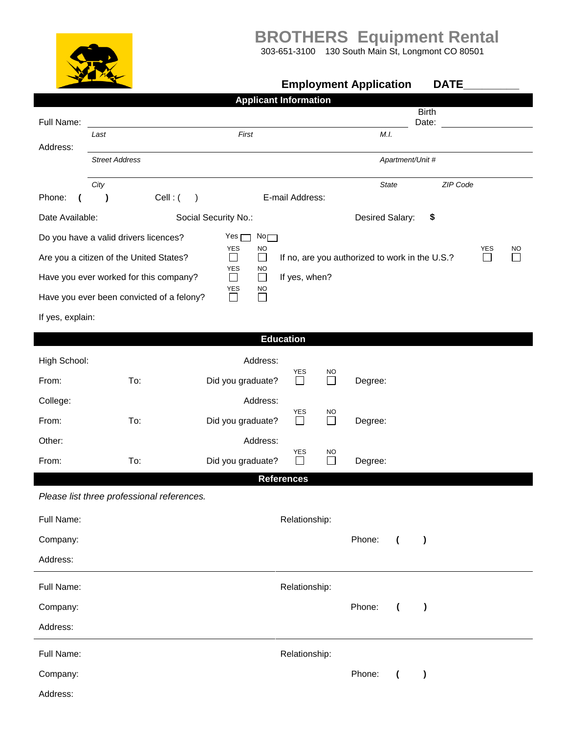**BROTHERS Equipment Rental**

303-651-3100 130 South Main St, Longmont CO 80501

|                                                                                                                                                                                 |                                            |                                      |                                               | <b>Employment Application</b>      | <b>DATE</b> |  |  |  |
|---------------------------------------------------------------------------------------------------------------------------------------------------------------------------------|--------------------------------------------|--------------------------------------|-----------------------------------------------|------------------------------------|-------------|--|--|--|
|                                                                                                                                                                                 |                                            |                                      | <b>Applicant Information</b>                  |                                    |             |  |  |  |
| Full Name:                                                                                                                                                                      |                                            | <b>Birth</b><br>Date:                |                                               |                                    |             |  |  |  |
| Address:                                                                                                                                                                        | Last                                       | First                                |                                               | M.I.                               |             |  |  |  |
|                                                                                                                                                                                 | <b>Street Address</b>                      |                                      |                                               | Apartment/Unit #                   |             |  |  |  |
|                                                                                                                                                                                 | City                                       |                                      |                                               | <b>State</b>                       | ZIP Code    |  |  |  |
| Phone:<br>$\mathbf \Gamma$                                                                                                                                                      | Cell: (<br>$\lambda$                       | $\rightarrow$                        | E-mail Address:                               |                                    |             |  |  |  |
| Date Available:                                                                                                                                                                 |                                            | Social Security No.:                 |                                               | Desired Salary:                    | \$          |  |  |  |
|                                                                                                                                                                                 | Do you have a valid drivers licences?      | No<br>Yes p                          |                                               |                                    |             |  |  |  |
| YES<br><b>NO</b><br>YES<br><b>NO</b><br>$\Box$<br>$\Box$<br>If no, are you authorized to work in the U.S.?<br>Are you a citizen of the United States?<br>$\Box$<br>$\mathbf{I}$ |                                            |                                      |                                               |                                    |             |  |  |  |
|                                                                                                                                                                                 | Have you ever worked for this company?     | <b>YES</b><br>NO<br>$\Box$<br>$\Box$ | If yes, when?                                 |                                    |             |  |  |  |
|                                                                                                                                                                                 | Have you ever been convicted of a felony?  | YES<br>NO<br>П<br>$\Box$             |                                               |                                    |             |  |  |  |
| If yes, explain:                                                                                                                                                                |                                            |                                      |                                               |                                    |             |  |  |  |
|                                                                                                                                                                                 |                                            |                                      | <b>Education</b>                              |                                    |             |  |  |  |
| High School:                                                                                                                                                                    |                                            | Address:                             |                                               |                                    |             |  |  |  |
| From:                                                                                                                                                                           | To:                                        | Did you graduate?                    | YES<br>NO<br>$\overline{\phantom{0}}$         | Degree:                            |             |  |  |  |
| College:                                                                                                                                                                        |                                            | Address:                             |                                               |                                    |             |  |  |  |
| From:                                                                                                                                                                           | To:                                        | Did you graduate?                    | <b>YES</b><br>NO<br>$\Box$<br>$\Box$          | Degree:                            |             |  |  |  |
| Other:                                                                                                                                                                          |                                            | Address:                             |                                               |                                    |             |  |  |  |
| From:                                                                                                                                                                           | To:                                        | Did you graduate?                    | <b>YES</b><br><b>NO</b><br>$\mathsf{L}$<br>ΙI | Degree:                            |             |  |  |  |
|                                                                                                                                                                                 |                                            |                                      | <b>References</b>                             |                                    |             |  |  |  |
|                                                                                                                                                                                 | Please list three professional references. |                                      |                                               |                                    |             |  |  |  |
| Full Name:                                                                                                                                                                      |                                            |                                      | Relationship:                                 |                                    |             |  |  |  |
| Company:                                                                                                                                                                        |                                            |                                      |                                               | Phone:<br>$\overline{ }$           | $\lambda$   |  |  |  |
| Address:                                                                                                                                                                        |                                            |                                      |                                               |                                    |             |  |  |  |
| Full Name:                                                                                                                                                                      |                                            |                                      | Relationship:                                 |                                    |             |  |  |  |
| Company:                                                                                                                                                                        |                                            |                                      |                                               | Phone:<br>$\overline{ }$           | $\lambda$   |  |  |  |
| Address:                                                                                                                                                                        |                                            |                                      |                                               |                                    |             |  |  |  |
| Full Name:                                                                                                                                                                      |                                            |                                      | Relationship:                                 |                                    |             |  |  |  |
| Company:                                                                                                                                                                        |                                            |                                      |                                               | Phone:<br>$\overline{\mathcal{L}}$ | $\lambda$   |  |  |  |
| Address:                                                                                                                                                                        |                                            |                                      |                                               |                                    |             |  |  |  |